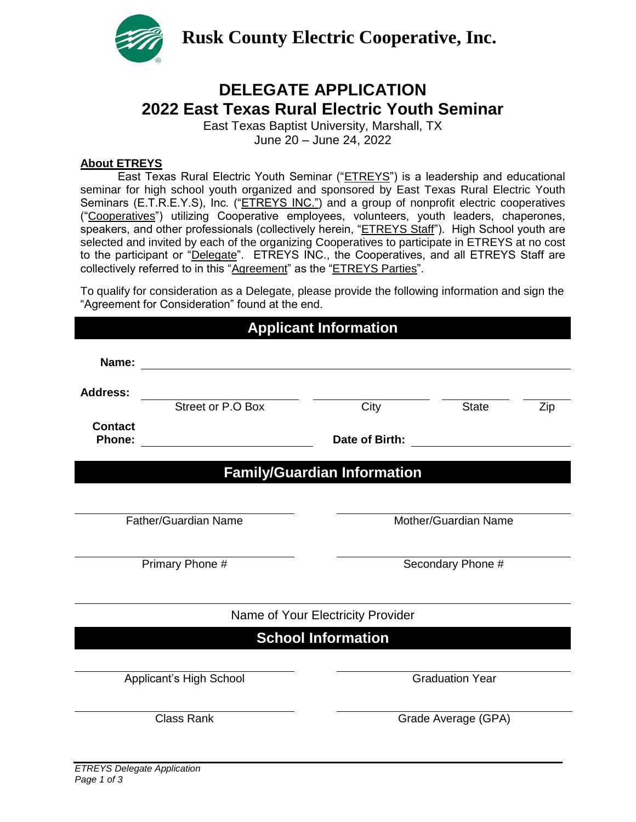

**Rusk County Electric Cooperative, Inc.**

# **DELEGATE APPLICATION 2022 East Texas Rural Electric Youth Seminar**

East Texas Baptist University, Marshall, TX June 20 – June 24, 2022

#### **About ETREYS**

East Texas Rural Electric Youth Seminar ("ETREYS") is a leadership and educational seminar for high school youth organized and sponsored by East Texas Rural Electric Youth Seminars (E.T.R.E.Y.S), Inc. ("ETREYS INC.") and a group of nonprofit electric cooperatives ("Cooperatives") utilizing Cooperative employees, volunteers, youth leaders, chaperones, speakers, and other professionals (collectively herein, "ETREYS Staff"). High School youth are selected and invited by each of the organizing Cooperatives to participate in ETREYS at no cost to the participant or "Delegate". ETREYS INC., the Cooperatives, and all ETREYS Staff are collectively referred to in this "Agreement" as the "ETREYS Parties".

To qualify for consideration as a Delegate, please provide the following information and sign the "Agreement for Consideration" found at the end.

| <b>Applicant Information</b> |                         |                                    |                        |     |  |  |  |
|------------------------------|-------------------------|------------------------------------|------------------------|-----|--|--|--|
| Name:                        |                         |                                    |                        |     |  |  |  |
| <b>Address:</b>              | Street or P.O Box       |                                    |                        |     |  |  |  |
| <b>Contact</b>               |                         | City                               | <b>State</b>           | Zip |  |  |  |
| <b>Phone:</b>                | Date of Birth:          |                                    |                        |     |  |  |  |
|                              |                         |                                    |                        |     |  |  |  |
|                              |                         | <b>Family/Guardian Information</b> |                        |     |  |  |  |
| Father/Guardian Name         |                         |                                    | Mother/Guardian Name   |     |  |  |  |
| Primary Phone #              |                         |                                    | Secondary Phone #      |     |  |  |  |
|                              |                         | Name of Your Electricity Provider  |                        |     |  |  |  |
|                              |                         | <b>School Information</b>          |                        |     |  |  |  |
|                              | Applicant's High School |                                    | <b>Graduation Year</b> |     |  |  |  |
|                              | <b>Class Rank</b>       | Grade Average (GPA)                |                        |     |  |  |  |
|                              |                         |                                    |                        |     |  |  |  |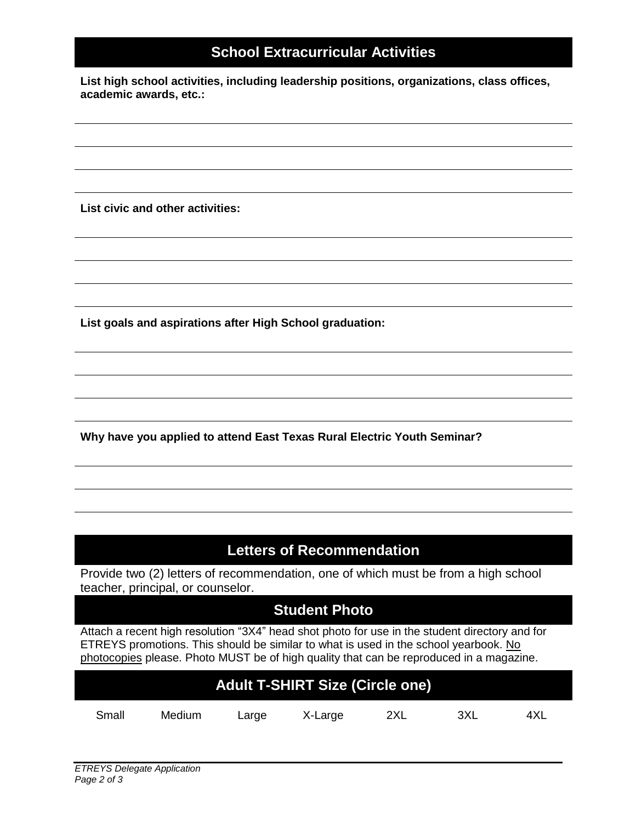## **School Extracurricular Activities**

**List high school activities, including leadership positions, organizations, class offices, academic awards, etc.:**

**List civic and other activities:**

**List goals and aspirations after High School graduation:**

**Why have you applied to attend East Texas Rural Electric Youth Seminar?**

# **Letters of Recommendation**

Provide two (2) letters of recommendation, one of which must be from a high school teacher, principal, or counselor.

### **Student Photo**

Attach a recent high resolution "3X4" head shot photo for use in the student directory and for ETREYS promotions. This should be similar to what is used in the school yearbook. No photocopies please. Photo MUST be of high quality that can be reproduced in a magazine.

| <b>Adult T-SHIRT Size (Circle one)</b> |        |       |         |     |     |     |  |  |
|----------------------------------------|--------|-------|---------|-----|-----|-----|--|--|
| Small                                  | Medium | Large | X-Large | 2XL | 3XL | 4XL |  |  |